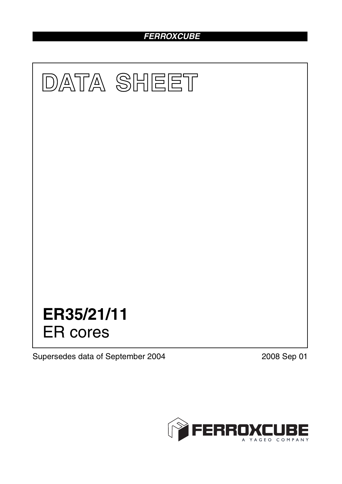# *FERROXCUBE*



Supersedes data of September 2004 2008 Sep 01

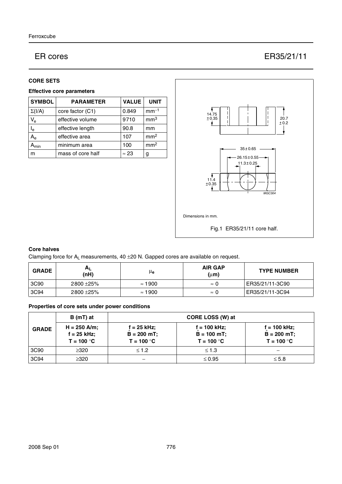# ER cores ER35/21/11

### **CORE SETS**

### **Effective core parameters**

| <b>SYMBOL</b>             | <b>PARAMETER</b>  | <b>VALUE</b> | <b>UNIT</b>     |
|---------------------------|-------------------|--------------|-----------------|
| $\Sigma(I/A)$             | core factor (C1)  | 0.849        | $mm-1$          |
| $V_{e}$                   | effective volume  | 9710         | mm <sup>3</sup> |
| $I_e$                     | effective length  | 90.8         | mm              |
| A <sub>e</sub>            | effective area    | 107          | mm <sup>2</sup> |
| $\mathbf{A}_{\text{min}}$ | minimum area      | 100          | mm <sup>2</sup> |
| m                         | mass of core half | $\approx 23$ | g               |



# **Core halves**

Clamping force for  $A_L$  measurements, 40  $\pm$ 20 N. Gapped cores are available on request.

| <b>GRADE</b> | <b>AL</b><br>(nH) | μ <sub>e</sub> | <b>AIR GAP</b><br>$(\mu m)$ | <b>TYPE NUMBER</b> |
|--------------|-------------------|----------------|-----------------------------|--------------------|
| 3C90         | 2800 ± 25%        | $\approx$ 1900 | $\approx$ 1                 | ER35/21/11-3C90    |
| 3C94         | 2800 ± 25%        | $\approx$ 1900 | $\approx$ 1                 | ER35/21/11-3C94    |

# **Properties of core sets under power conditions**

|              | $B(mT)$ at                                    | CORE LOSS (W) at                                |                                                |                                                |
|--------------|-----------------------------------------------|-------------------------------------------------|------------------------------------------------|------------------------------------------------|
| <b>GRADE</b> | $H = 250$ A/m;<br>f = 25 kHz;<br>$T = 100 °C$ | $f = 25$ kHz;<br>$B = 200 mT$ ;<br>$T = 100 °C$ | f = 100 kHz;<br>$B = 100 mT$ ;<br>$T = 100 °C$ | f = 100 kHz;<br>$B = 200 mT$ ;<br>$T = 100 °C$ |
| 3C90         | $\geq 320$                                    | $\leq 1.2$                                      | $\leq 1.3$                                     |                                                |
| 3C94         | $\geq 320$                                    |                                                 | $\leq 0.95$                                    | $\leq 5.8$                                     |